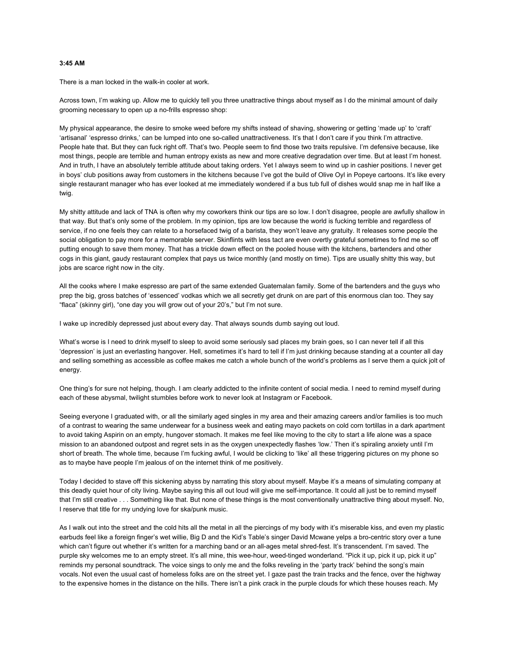# **3:45 AM**

There is a man locked in the walk-in cooler at work.

Across town, I'm waking up. Allow me to quickly tell you three unattractive things about myself as I do the minimal amount of daily grooming necessary to open up a no-frills espresso shop:

My physical appearance, the desire to smoke weed before my shifts instead of shaving, showering or getting 'made up' to 'craft' 'artisanal' 'espresso drinks,' can be lumped into one so-called unattractiveness. It's that I don't care if you think I'm attractive. People hate that. But they can fuck right off. That's two. People seem to find those two traits repulsive. I'm defensive because, like most things, people are terrible and human entropy exists as new and more creative degradation over time. But at least I'm honest. And in truth, I have an absolutely terrible attitude about taking orders. Yet I always seem to wind up in cashier positions. I never get in boys' club positions away from customers in the kitchens because I've got the build of Olive Oyl in Popeye cartoons. It's like every single restaurant manager who has ever looked at me immediately wondered if a bus tub full of dishes would snap me in half like a twig.

My shitty attitude and lack of TNA is often why my coworkers think our tips are so low. I don't disagree, people are awfully shallow in that way. But that's only some of the problem. In my opinion, tips are low because the world is fucking terrible and regardless of service, if no one feels they can relate to a horsefaced twig of a barista, they won't leave any gratuity. It releases some people the social obligation to pay more for a memorable server. Skinflints with less tact are even overtly grateful sometimes to find me so off putting enough to save them money. That has a trickle down effect on the pooled house with the kitchens, bartenders and other cogs in this giant, gaudy restaurant complex that pays us twice monthly (and mostly on time). Tips are usually shitty this way, but jobs are scarce right now in the city.

All the cooks where I make espresso are part of the same extended Guatemalan family. Some of the bartenders and the guys who prep the big, gross batches of 'essenced' vodkas which we all secretly get drunk on are part of this enormous clan too. They say "flaca" (skinny girl), "one day you will grow out of your 20's," but I'm not sure.

I wake up incredibly depressed just about every day. That always sounds dumb saying out loud.

What's worse is I need to drink myself to sleep to avoid some seriously sad places my brain goes, so I can never tell if all this 'depression' is just an everlasting hangover. Hell, sometimes it's hard to tell if I'm just drinking because standing at a counter all day and selling something as accessible as coffee makes me catch a whole bunch of the world's problems as I serve them a quick jolt of energy.

One thing's for sure not helping, though. I am clearly addicted to the infinite content of social media. I need to remind myself during each of these abysmal, twilight stumbles before work to never look at Instagram or Facebook.

Seeing everyone I graduated with, or all the similarly aged singles in my area and their amazing careers and/or families is too much of a contrast to wearing the same underwear for a business week and eating mayo packets on cold corn tortillas in a dark apartment to avoid taking Aspirin on an empty, hungover stomach. It makes me feel like moving to the city to start a life alone was a space mission to an abandoned outpost and regret sets in as the oxygen unexpectedly flashes 'low.' Then it's spiraling anxiety until I'm short of breath. The whole time, because I'm fucking awful, I would be clicking to 'like' all these triggering pictures on my phone so as to maybe have people I'm jealous of on the internet think of me positively.

Today I decided to stave off this sickening abyss by narrating this story about myself. Maybe it's a means of simulating company at this deadly quiet hour of city living. Maybe saying this all out loud will give me self-importance. It could all just be to remind myself that I'm still creative . . . Something like that. But none of these things is the most conventionally unattractive thing about myself. No, I reserve that title for my undying love for ska/punk music.

As I walk out into the street and the cold hits all the metal in all the piercings of my body with it's miserable kiss, and even my plastic earbuds feel like a foreign finger's wet willie, Big D and the Kid's Table's singer David Mcwane yelps a bro-centric story over a tune which can't figure out whether it's written for a marching band or an all-ages metal shred-fest. It's transcendent. I'm saved. The purple sky welcomes me to an empty street. It's all mine, this wee-hour, weed-tinged wonderland. "Pick it up, pick it up, pick it up" reminds my personal soundtrack. The voice sings to only me and the folks reveling in the 'party track' behind the song's main vocals. Not even the usual cast of homeless folks are on the street yet. I gaze past the train tracks and the fence, over the highway to the expensive homes in the distance on the hills. There isn't a pink crack in the purple clouds for which these houses reach. My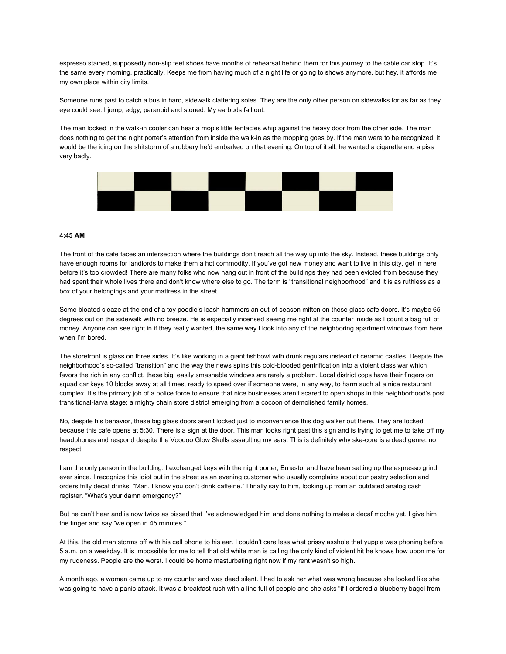espresso stained, supposedly non-slip feet shoes have months of rehearsal behind them for this journey to the cable car stop. It's the same every morning, practically. Keeps me from having much of a night life or going to shows anymore, but hey, it affords me my own place within city limits.

Someone runs past to catch a bus in hard, sidewalk clattering soles. They are the only other person on sidewalks for as far as they eye could see. I jump; edgy, paranoid and stoned. My earbuds fall out.

The man locked in the walk-in cooler can hear a mop's little tentacles whip against the heavy door from the other side. The man does nothing to get the night porter's attention from inside the walk-in as the mopping goes by. If the man were to be recognized, it would be the icing on the shitstorm of a robbery he'd embarked on that evening. On top of it all, he wanted a cigarette and a piss very badly.



### **4:45 AM**

The front of the cafe faces an intersection where the buildings don't reach all the way up into the sky. Instead, these buildings only have enough rooms for landlords to make them a hot commodity. If you've got new money and want to live in this city, get in here before it's too crowded! There are many folks who now hang out in front of the buildings they had been evicted from because they had spent their whole lives there and don't know where else to go. The term is "transitional neighborhood" and it is as ruthless as a box of your belongings and your mattress in the street.

Some bloated sleaze at the end of a toy poodle's leash hammers an out-of-season mitten on these glass cafe doors. It's maybe 65 degrees out on the sidewalk with no breeze. He is especially incensed seeing me right at the counter inside as I count a bag full of money. Anyone can see right in if they really wanted, the same way I look into any of the neighboring apartment windows from here when I'm bored.

The storefront is glass on three sides. It's like working in a giant fishbowl with drunk regulars instead of ceramic castles. Despite the neighborhood's so-called "transition" and the way the news spins this cold-blooded gentrification into a violent class war which favors the rich in any conflict, these big, easily smashable windows are rarely a problem. Local district cops have their fingers on squad car keys 10 blocks away at all times, ready to speed over if someone were, in any way, to harm such at a nice restaurant complex. It's the primary job of a police force to ensure that nice businesses aren't scared to open shops in this neighborhood's post transitional-larva stage; a mighty chain store district emerging from a cocoon of demolished family homes.

No, despite his behavior, these big glass doors aren't locked just to inconvenience this dog walker out there. They are locked because this cafe opens at 5:30. There is a sign at the door. This man looks right past this sign and is trying to get me to take off my headphones and respond despite the Voodoo Glow Skulls assaulting my ears. This is definitely why ska-core is a dead genre: no respect.

I am the only person in the building. I exchanged keys with the night porter, Ernesto, and have been setting up the espresso grind ever since. I recognize this idiot out in the street as an evening customer who usually complains about our pastry selection and orders frilly decaf drinks. "Man, I know you don't drink caffeine." I finally say to him, looking up from an outdated analog cash register. "What's your damn emergency?"

But he can't hear and is now twice as pissed that I've acknowledged him and done nothing to make a decaf mocha yet. I give him the finger and say "we open in 45 minutes."

At this, the old man storms off with his cell phone to his ear. I couldn't care less what prissy asshole that yuppie was phoning before 5 a.m. on a weekday. It is impossible for me to tell that old white man is calling the only kind of violent hit he knows how upon me for my rudeness. People are the worst. I could be home masturbating right now if my rent wasn't so high.

A month ago, a woman came up to my counter and was dead silent. I had to ask her what was wrong because she looked like she was going to have a panic attack. It was a breakfast rush with a line full of people and she asks "if I ordered a blueberry bagel from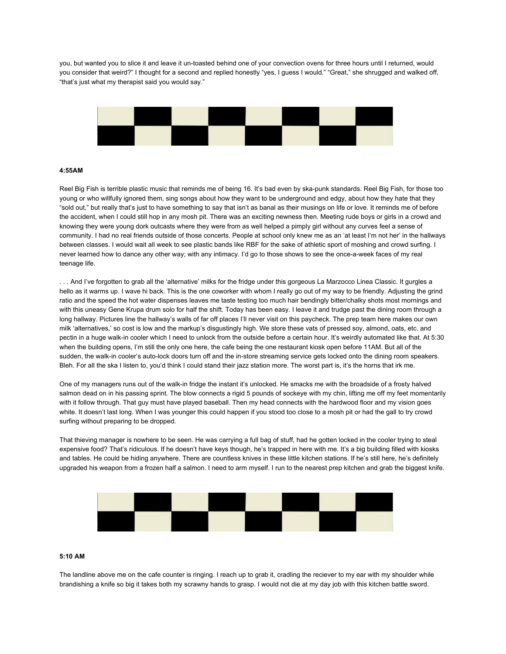you, but wanted you to slice it and leave it un-toasted behind one of your convection ovens for three hours until I returned, would you consider that weird?" I thought for a second and replied honestly "yes, I guess I would." "Great," she shrugged and walked off, "that's just what my therapist said you would say."



### **4:55AM**

Reel Big Fish is terrible plastic music that reminds me of being 16. It's bad even by ska-punk standards. Reel Big Fish, for those too young or who willfully ignored them, sing songs about how they want to be underground and edgy, about how they hate that they "sold out," but really that's just to have something to say that isn't as banal as their musings on life or love. It reminds me of before the accident, when I could still hop in any mosh pit. There was an exciting newness then. Meeting rude boys or girls in a crowd and knowing they were young dork outcasts where they were from as well helped a pimply girl without any curves feel a sense of community. I had no real friends outside of those concerts. People at school only knew me as an 'at least I'm not her' in the hallways between classes. I would wait all week to see plastic bands like RBF for the sake of athletic sport of moshing and crowd surfing. I never learned how to dance any other way; with any intimacy. I'd go to those shows to see the once-a-week faces of my real teenage life.

. . . And I've forgotten to grab all the 'alternative' milks for the fridge under this gorgeous La Marzocco Linea Classic. It gurgles a hello as it warms up. I wave hi back. This is the one coworker with whom I really go out of my way to be friendly. Adjusting the grind ratio and the speed the hot water dispenses leaves me taste testing too much hair bendingly bitter/chalky shots most mornings and with this uneasy Gene Krupa drum solo for half the shift. Today has been easy. I leave it and trudge past the dining room through a long hallway. Pictures line the hallway's walls of far off places I'll never visit on this paycheck. The prep team here makes our own milk 'alternatives,' so cost is low and the markup's disgustingly high. We store these vats of pressed soy, almond, oats, etc. and pectin in a huge walk-in cooler which I need to unlock from the outside before a certain hour. It's weirdly automated like that. At 5:30 when the building opens, I'm still the only one here, the cafe being the one restaurant kiosk open before 11AM. But all of the sudden, the walk-in cooler's auto-lock doors turn off and the in-store streaming service gets locked onto the dining room speakers. Bleh. For all the ska I listen to, you'd think I could stand their jazz station more. The worst part is, it's the horns that irk me.

One of my managers runs out of the walk-in fridge the instant it's unlocked. He smacks me with the broadside of a frosty halved salmon dead on in his passing sprint. The blow connects a rigid 5 pounds of sockeye with my chin, lifting me off my feet momentarily with it follow through. That guy must have played baseball. Then my head connects with the hardwood floor and my vision goes white. It doesn't last long. When I was younger this could happen if you stood too close to a mosh pit or had the gall to try crowd surfing without preparing to be dropped.

That thieving manager is nowhere to be seen. He was carrying a full bag of stuff, had he gotten locked in the cooler trying to steal expensive food? That's ridiculous. If he doesn't have keys though, he's trapped in here with me. It's a big building filled with kiosks and tables. He could be hiding anywhere. There are countless knives in these little kitchen stations. If he's still here, he's definitely upgraded his weapon from a frozen half a salmon. I need to arm myself. I run to the nearest prep kitchen and grab the biggest knife.



### **5:10 AM**

The landline above me on the cafe counter is ringing. I reach up to grab it, cradling the reciever to my ear with my shoulder while brandishing a knife so big it takes both my scrawny hands to grasp. I would not die at my day job with this kitchen battle sword.